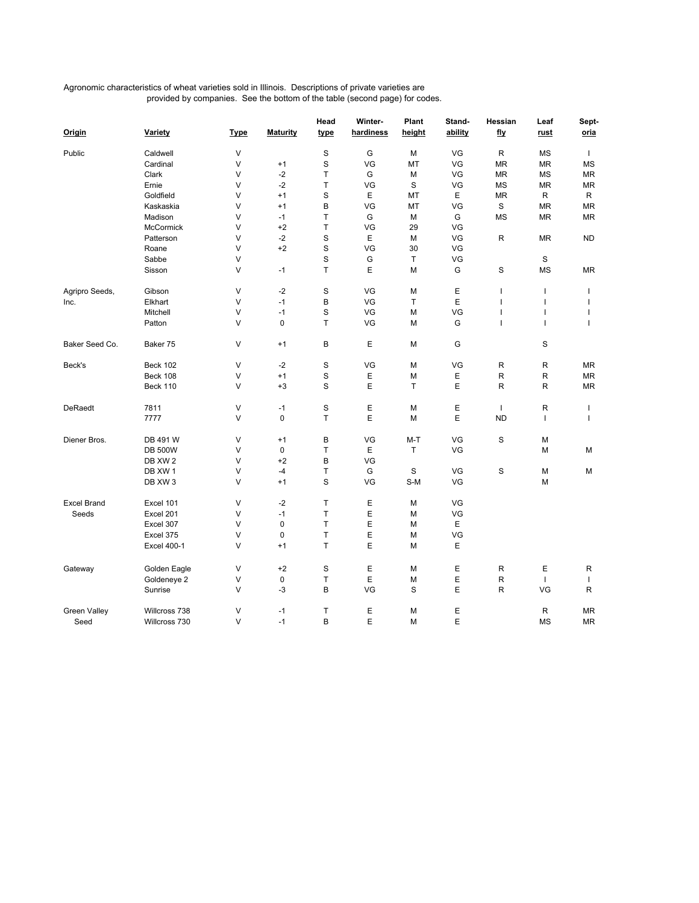## Agronomic characteristics of wheat varieties sold in Illinois. Descriptions of private varieties are provided by companies. See the bottom of the table (second page) for codes.

| Origin              | Variety            | <b>Type</b> | <b>Maturity</b> | Head<br>type | Winter-<br>hardiness | Plant<br>height | Stand-<br>ability | Hessian<br>fly           | Leaf<br><u>rust</u> | Sept-<br>oria  |
|---------------------|--------------------|-------------|-----------------|--------------|----------------------|-----------------|-------------------|--------------------------|---------------------|----------------|
| Public              | Caldwell           | $\vee$      |                 | $\mathbf S$  | G                    | M               | VG                | R                        | <b>MS</b>           | $\mathbf{I}$   |
|                     | Cardinal           | V           | $+1$            | $\mathbf S$  | VG                   | MT              | VG                | ΜR                       | <b>MR</b>           | <b>MS</b>      |
|                     | Clark              | V           | $-2$            | Τ            | G                    | М               | VG                | MR                       | <b>MS</b>           | MR             |
|                     | Ernie              | V           | $-2$            | Τ            | VG                   | S               | VG                | MS                       | <b>MR</b>           | MR             |
|                     | Goldfield          | V           | $+1$            | S            | Ε                    | MT              | Е                 | MR                       | R                   | R              |
|                     | Kaskaskia          | V           | $+1$            | B            | VG                   | МT              | VG                | $\mathbf S$              | <b>MR</b>           | MR             |
|                     | Madison            | V           | $-1$            | $\mathsf{T}$ | G                    | М               | G                 | MS                       | <b>MR</b>           | ΜR             |
|                     | McCormick          | V           | $+2$            | Т            | VG                   | 29              | VG                |                          |                     |                |
|                     | Patterson          | V           | $-2$            | $\mathbf S$  | Ε                    | М               | VG                | R                        | <b>MR</b>           | <b>ND</b>      |
|                     | Roane              | V           | $+2$            | S            | VG                   | 30              | VG                |                          |                     |                |
|                     | Sabbe              | V           |                 | $\mathbf S$  | G                    | т               | VG                |                          | $\mathbf S$         |                |
|                     | Sisson             | V           | $-1$            | T            | Ε                    | М               | G                 | S                        | MS                  | ΜR             |
| Agripro Seeds,      | Gibson             | V           | $-2$            | $\mathbf S$  | VG                   | М               | $\mathsf E$       | $\mathbf{I}$             | $\mathbf{I}$        | T              |
| Inc.                | Elkhart            | $\vee$      | $-1$            | B            | VG                   | T               | E                 | $\overline{\phantom{a}}$ | Ť                   | $\overline{1}$ |
|                     | Mitchell           | V           | $-1$            | $\mathbf S$  | VG                   | М               | VG                | ı                        | I                   | I              |
|                     | Patton             | V           | $\mathbf 0$     | T            | VG                   | М               | G                 | $\mathbf{I}$             | T                   | $\overline{1}$ |
| Baker Seed Co.      | Baker 75           | V           | $+1$            | B            | Ε                    | М               | G                 |                          | $\mathbf S$         |                |
| Beck's              | <b>Beck 102</b>    | V           | $-2$            | S            | VG                   | М               | VG                | R                        | R                   | MR             |
|                     | <b>Beck 108</b>    | V           | $+1$            | S            | Ε                    | М               | Е                 | R                        | R                   | MR             |
|                     | <b>Beck 110</b>    | V           | $+3$            | S            | E                    | т               | E                 | R                        | R                   | MR             |
| DeRaedt             | 7811               | V           | $-1$            | $\mathbf S$  | Ε                    | Μ               | Ε                 | $\mathbf{I}$             | R                   | T              |
|                     | 7777               | $\vee$      | 0               | т            | E                    | М               | Е                 | <b>ND</b>                | $\mathbf{I}$        | I              |
| Diener Bros.        | DB 491 W           | V           | $+1$            | В            | VG                   | M-T             | VG                | S                        | М                   |                |
|                     | <b>DB 500W</b>     | V           | 0               | Т            | Ε                    | т               | VG                |                          | М                   | М              |
|                     | DB XW 2            | V           | $+2$            | B            | VG                   |                 |                   |                          |                     |                |
|                     | DB XW 1            | V           | $-4$            | т            | G                    | S               | VG                | S                        | М                   | M              |
|                     | DB XW 3            | V           | $+1$            | S            | VG                   | S-M             | VG                |                          | M                   |                |
| <b>Excel Brand</b>  | Excel 101          | V           | $-2$            | Τ            | E                    | М               | VG                |                          |                     |                |
| Seeds               | Excel 201          | V           | $-1$            | Τ            | Ε                    | М               | VG                |                          |                     |                |
|                     | Excel 307          | V           | $\mathbf 0$     | $\mathsf{T}$ | E                    | М               | Е                 |                          |                     |                |
|                     | Excel 375          | V           | $\mathbf 0$     | $\mathsf{T}$ | E                    | М               | VG                |                          |                     |                |
|                     | <b>Excel 400-1</b> | V           | $+1$            | $\mathsf{T}$ | E                    | М               | E                 |                          |                     |                |
| Gateway             | Golden Eagle       | V           | $+2$            | S            | Ε                    | М               | Е                 | R                        | Е                   | R              |
|                     | Goldeneye 2        | V           | 0               | Τ            | E                    | М               | $\mathsf E$       | R                        | $\mathbf{I}$        | $\mathbf{I}$   |
|                     | Sunrise            | V           | -3              | В            | VG                   | S               | Ε                 | R                        | VG                  | R              |
| <b>Green Valley</b> | Willcross 738      | V           | -1              | Т            | Ε                    | М               | Е                 |                          | R                   | ΜR             |
| Seed                | Willcross 730      | V           | -1              | B            | E                    | М               | Е                 |                          | <b>MS</b>           | MR             |